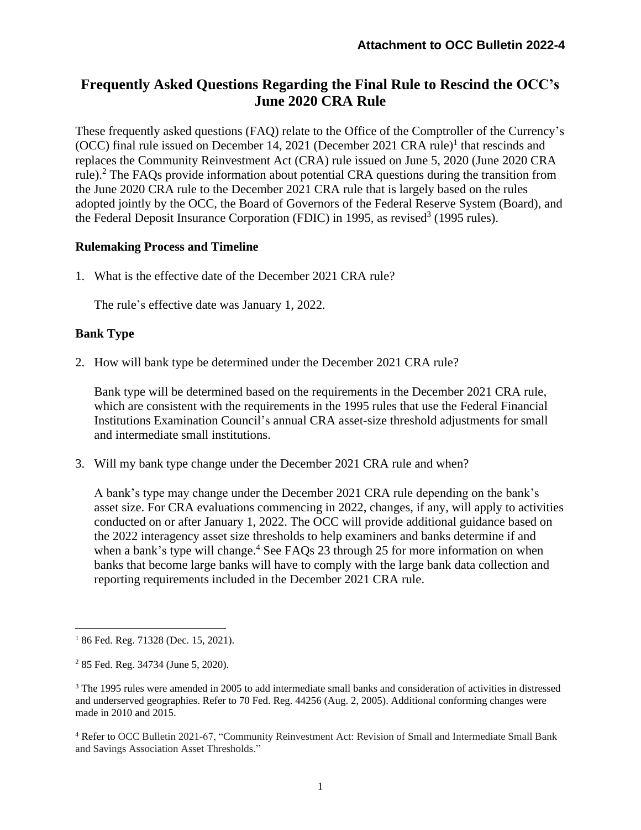# **Frequently Asked Questions Regarding the Final Rule to Rescind the OCC's June 2020 CRA Rule**

These frequently asked questions (FAQ) relate to the Office of the Comptroller of the Currency's (OCC) final rule issued on December 14, 2021 (December 2021 CRA rule)<sup>1</sup> that rescinds and replaces the Community Reinvestment Act (CRA) rule issued on June 5, 2020 (June 2020 CRA rule).<sup>2</sup> The FAQs provide information about potential CRA questions during the transition from the June 2020 CRA rule to the December 2021 CRA rule that is largely based on the rules adopted jointly by the OCC, the Board of Governors of the Federal Reserve System (Board), and the Federal Deposit Insurance Corporation (FDIC) in 1995, as revised<sup>3</sup> (1995 rules).

### **Rulemaking Process and Timeline**

1. What is the effective date of the December 2021 CRA rule?

The rule's effective date was January 1, 2022.

# **Bank Type**

2. How will bank type be determined under the December 2021 CRA rule?

Bank type will be determined based on the requirements in the December 2021 CRA rule, which are consistent with the requirements in the 1995 rules that use the Federal Financial Institutions Examination Council's annual CRA asset-size threshold adjustments for small and intermediate small institutions.

3. Will my bank type change under the December 2021 CRA rule and when?

A bank's type may change under the December 2021 CRA rule depending on the bank's asset size. For CRA evaluations commencing in 2022, changes, if any, will apply to activities conducted on or after January 1, 2022. The OCC will provide additional guidance based on the 2022 interagency asset size thresholds to help examiners and banks determine if and when a bank's type will change.<sup>4</sup> See FAQs 23 through 25 for more information on when banks that become large banks will have to comply with the large bank data collection and reporting requirements included in the December 2021 CRA rule.

<sup>&</sup>lt;sup>1</sup> 86 Fed. Reg. 71328 (Dec. 15, 2021).

<sup>2</sup> 85 Fed. Reg. 34734 (June 5, 2020).

<sup>3</sup> The 1995 rules were amended in 2005 to add intermediate small banks and consideration of activities in distressed and underserved geographies. Refer to 70 Fed. Reg. 44256 (Aug. 2, 2005). Additional conforming changes were made in 2010 and 2015.

<sup>4</sup> Refer to OCC Bulletin 2021-67, "Community Reinvestment Act: Revision of Small and Intermediate Small Bank and Savings Association Asset Thresholds."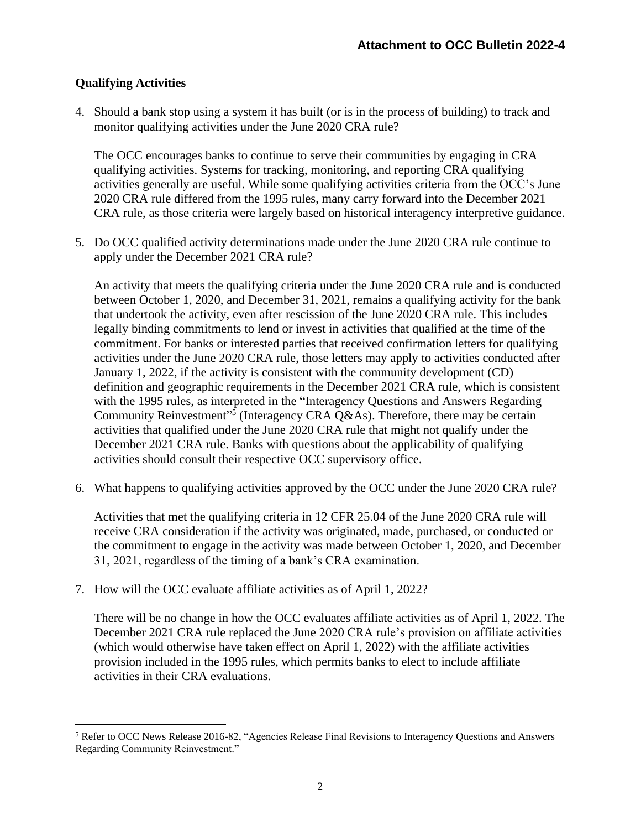# **Qualifying Activities**

4. Should a bank stop using a system it has built (or is in the process of building) to track and monitor qualifying activities under the June 2020 CRA rule?

The OCC encourages banks to continue to serve their communities by engaging in CRA qualifying activities. Systems for tracking, monitoring, and reporting CRA qualifying activities generally are useful. While some qualifying activities criteria from the OCC's June 2020 CRA rule differed from the 1995 rules, many carry forward into the December 2021 CRA rule, as those criteria were largely based on historical interagency interpretive guidance.

5. Do OCC qualified activity determinations made under the June 2020 CRA rule continue to apply under the December 2021 CRA rule?

An activity that meets the qualifying criteria under the June 2020 CRA rule and is conducted between October 1, 2020, and December 31, 2021, remains a qualifying activity for the bank that undertook the activity, even after rescission of the June 2020 CRA rule. This includes legally binding commitments to lend or invest in activities that qualified at the time of the commitment. For banks or interested parties that received confirmation letters for qualifying activities under the June 2020 CRA rule, those letters may apply to activities conducted after January 1, 2022, if the activity is consistent with the community development (CD) definition and geographic requirements in the December 2021 CRA rule, which is consistent with the 1995 rules, as interpreted in the "Interagency Questions and Answers Regarding Community Reinvestment"<sup>5</sup> (Interagency CRA Q&As). Therefore, there may be certain activities that qualified under the June 2020 CRA rule that might not qualify under the December 2021 CRA rule. Banks with questions about the applicability of qualifying activities should consult their respective OCC supervisory office.

6. What happens to qualifying activities approved by the OCC under the June 2020 CRA rule?

Activities that met the qualifying criteria in 12 CFR 25.04 of the June 2020 CRA rule will receive CRA consideration if the activity was originated, made, purchased, or conducted or the commitment to engage in the activity was made between October 1, 2020, and December 31, 2021, regardless of the timing of a bank's CRA examination.

7. How will the OCC evaluate affiliate activities as of April 1, 2022?

There will be no change in how the OCC evaluates affiliate activities as of April 1, 2022. The December 2021 CRA rule replaced the June 2020 CRA rule's provision on affiliate activities (which would otherwise have taken effect on April 1, 2022) with the affiliate activities provision included in the 1995 rules, which permits banks to elect to include affiliate activities in their CRA evaluations.

<sup>5</sup> Refer to OCC News Release 2016-82, "Agencies Release Final Revisions to Interagency Questions and Answers Regarding Community Reinvestment."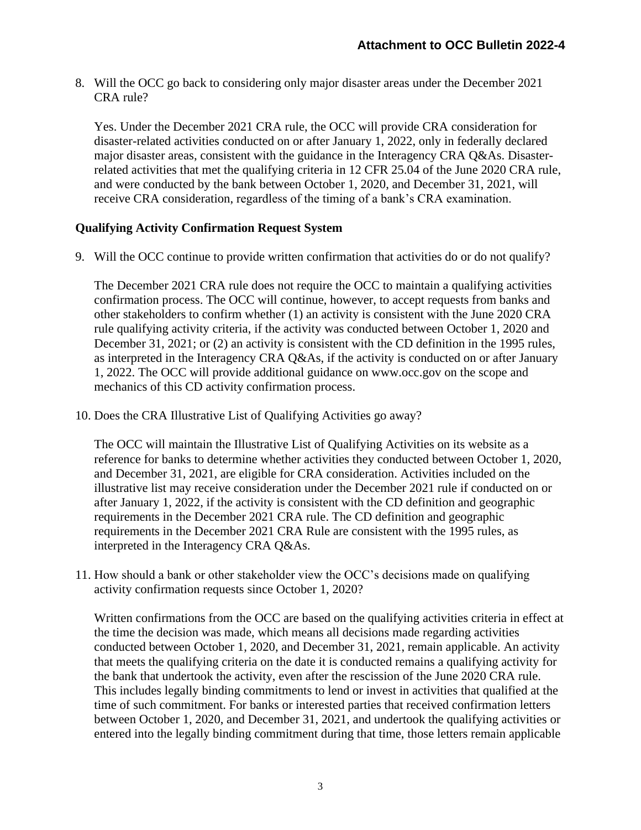8. Will the OCC go back to considering only major disaster areas under the December 2021 CRA rule?

Yes. Under the December 2021 CRA rule, the OCC will provide CRA consideration for disaster-related activities conducted on or after January 1, 2022, only in federally declared major disaster areas, consistent with the guidance in the Interagency CRA Q&As. Disasterrelated activities that met the qualifying criteria in 12 CFR 25.04 of the June 2020 CRA rule, and were conducted by the bank between October 1, 2020, and December 31, 2021, will receive CRA consideration, regardless of the timing of a bank's CRA examination.

# **Qualifying Activity Confirmation Request System**

9. Will the OCC continue to provide written confirmation that activities do or do not qualify?

The December 2021 CRA rule does not require the OCC to maintain a qualifying activities confirmation process. The OCC will continue, however, to accept requests from banks and other stakeholders to confirm whether (1) an activity is consistent with the June 2020 CRA rule qualifying activity criteria, if the activity was conducted between October 1, 2020 and December 31, 2021; or (2) an activity is consistent with the CD definition in the 1995 rules, as interpreted in the Interagency CRA Q&As, if the activity is conducted on or after January 1, 2022. The OCC will provide additional guidance on www.occ.gov on the scope and mechanics of this CD activity confirmation process.

10. Does the CRA Illustrative List of Qualifying Activities go away?

The OCC will maintain the Illustrative List of Qualifying Activities on its website as a reference for banks to determine whether activities they conducted between October 1, 2020, and December 31, 2021, are eligible for CRA consideration. Activities included on the illustrative list may receive consideration under the December 2021 rule if conducted on or after January 1, 2022, if the activity is consistent with the CD definition and geographic requirements in the December 2021 CRA rule. The CD definition and geographic requirements in the December 2021 CRA Rule are consistent with the 1995 rules, as interpreted in the Interagency CRA Q&As.

11. How should a bank or other stakeholder view the OCC's decisions made on qualifying activity confirmation requests since October 1, 2020?

Written confirmations from the OCC are based on the qualifying activities criteria in effect at the time the decision was made, which means all decisions made regarding activities conducted between October 1, 2020, and December 31, 2021, remain applicable. An activity that meets the qualifying criteria on the date it is conducted remains a qualifying activity for the bank that undertook the activity, even after the rescission of the June 2020 CRA rule. This includes legally binding commitments to lend or invest in activities that qualified at the time of such commitment. For banks or interested parties that received confirmation letters between October 1, 2020, and December 31, 2021, and undertook the qualifying activities or entered into the legally binding commitment during that time, those letters remain applicable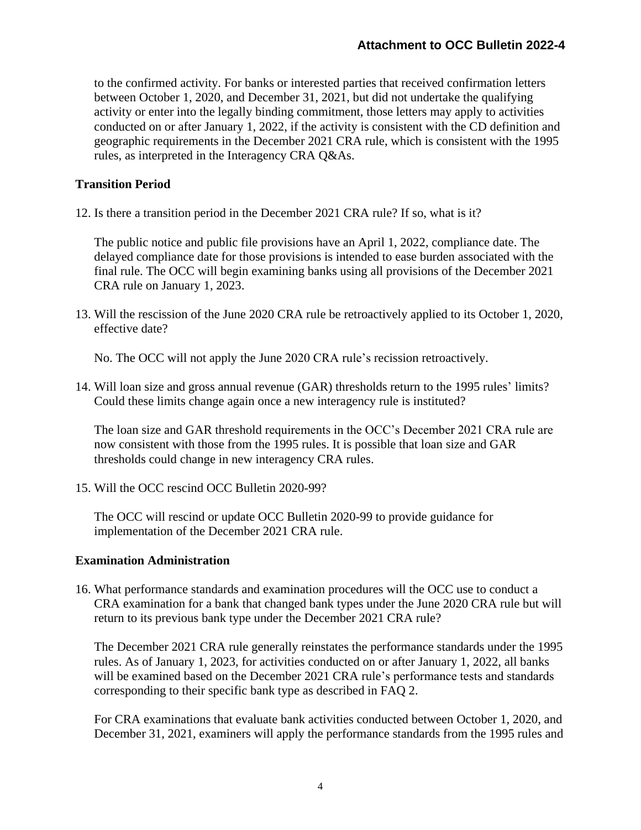to the confirmed activity. For banks or interested parties that received confirmation letters between October 1, 2020, and December 31, 2021, but did not undertake the qualifying activity or enter into the legally binding commitment, those letters may apply to activities conducted on or after January 1, 2022, if the activity is consistent with the CD definition and geographic requirements in the December 2021 CRA rule, which is consistent with the 1995 rules, as interpreted in the Interagency CRA Q&As.

# **Transition Period**

12. Is there a transition period in the December 2021 CRA rule? If so, what is it?

The public notice and public file provisions have an April 1, 2022, compliance date. The delayed compliance date for those provisions is intended to ease burden associated with the final rule. The OCC will begin examining banks using all provisions of the December 2021 CRA rule on January 1, 2023.

13. Will the rescission of the June 2020 CRA rule be retroactively applied to its October 1, 2020, effective date?

No. The OCC will not apply the June 2020 CRA rule's recission retroactively.

14. Will loan size and gross annual revenue (GAR) thresholds return to the 1995 rules' limits? Could these limits change again once a new interagency rule is instituted?

The loan size and GAR threshold requirements in the OCC's December 2021 CRA rule are now consistent with those from the 1995 rules. It is possible that loan size and GAR thresholds could change in new interagency CRA rules.

15. Will the OCC rescind OCC Bulletin 2020-99?

The OCC will rescind or update OCC Bulletin 2020-99 to provide guidance for implementation of the December 2021 CRA rule.

### **Examination Administration**

16. What performance standards and examination procedures will the OCC use to conduct a CRA examination for a bank that changed bank types under the June 2020 CRA rule but will return to its previous bank type under the December 2021 CRA rule?

The December 2021 CRA rule generally reinstates the performance standards under the 1995 rules. As of January 1, 2023, for activities conducted on or after January 1, 2022, all banks will be examined based on the December 2021 CRA rule's performance tests and standards corresponding to their specific bank type as described in FAQ 2.

For CRA examinations that evaluate bank activities conducted between October 1, 2020, and December 31, 2021, examiners will apply the performance standards from the 1995 rules and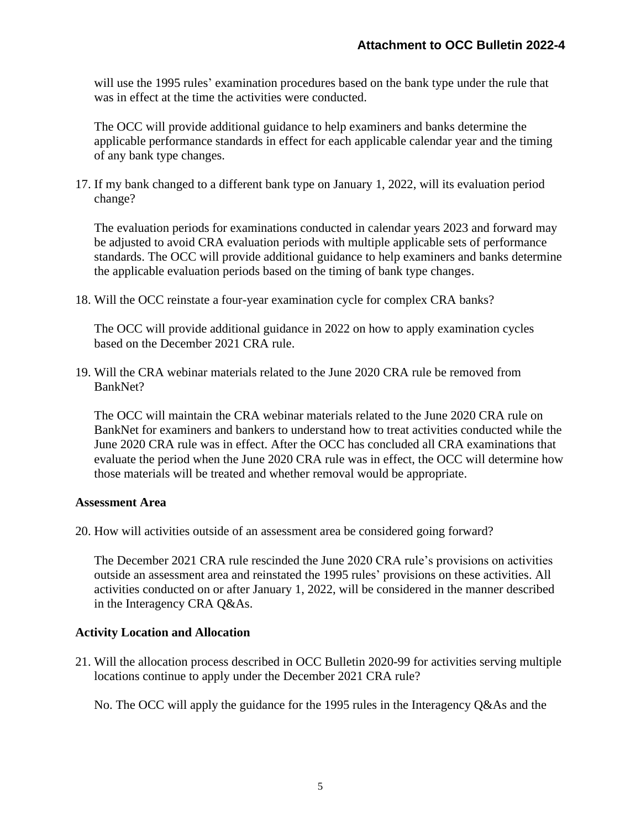will use the 1995 rules' examination procedures based on the bank type under the rule that was in effect at the time the activities were conducted.

The OCC will provide additional guidance to help examiners and banks determine the applicable performance standards in effect for each applicable calendar year and the timing of any bank type changes.

17. If my bank changed to a different bank type on January 1, 2022, will its evaluation period change?

The evaluation periods for examinations conducted in calendar years 2023 and forward may be adjusted to avoid CRA evaluation periods with multiple applicable sets of performance standards. The OCC will provide additional guidance to help examiners and banks determine the applicable evaluation periods based on the timing of bank type changes.

18. Will the OCC reinstate a four-year examination cycle for complex CRA banks?

The OCC will provide additional guidance in 2022 on how to apply examination cycles based on the December 2021 CRA rule.

19. Will the CRA webinar materials related to the June 2020 CRA rule be removed from BankNet?

The OCC will maintain the CRA webinar materials related to the June 2020 CRA rule on BankNet for examiners and bankers to understand how to treat activities conducted while the June 2020 CRA rule was in effect. After the OCC has concluded all CRA examinations that evaluate the period when the June 2020 CRA rule was in effect, the OCC will determine how those materials will be treated and whether removal would be appropriate.

#### **Assessment Area**

20. How will activities outside of an assessment area be considered going forward?

The December 2021 CRA rule rescinded the June 2020 CRA rule's provisions on activities outside an assessment area and reinstated the 1995 rules' provisions on these activities. All activities conducted on or after January 1, 2022, will be considered in the manner described in the Interagency CRA Q&As.

### **Activity Location and Allocation**

21. Will the allocation process described in OCC Bulletin 2020-99 for activities serving multiple locations continue to apply under the December 2021 CRA rule?

No. The OCC will apply the guidance for the 1995 rules in the Interagency Q&As and the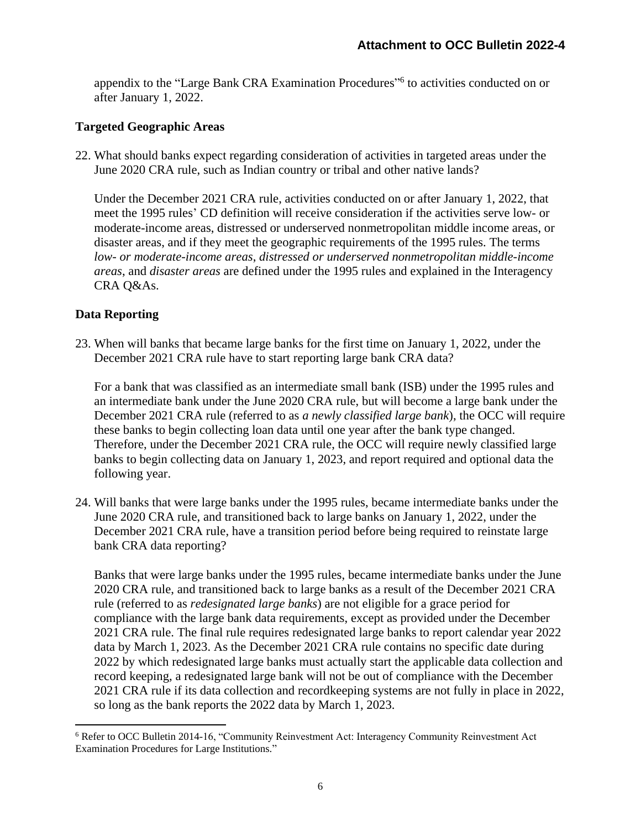appendix to the "Large Bank CRA Examination Procedures"<sup>6</sup> to activities conducted on or after January 1, 2022.

## **Targeted Geographic Areas**

22. What should banks expect regarding consideration of activities in targeted areas under the June 2020 CRA rule, such as Indian country or tribal and other native lands?

Under the December 2021 CRA rule, activities conducted on or after January 1, 2022, that meet the 1995 rules' CD definition will receive consideration if the activities serve low- or moderate-income areas, distressed or underserved nonmetropolitan middle income areas, or disaster areas, and if they meet the geographic requirements of the 1995 rules. The terms *low- or moderate-income areas*, *distressed or underserved nonmetropolitan middle-income areas*, and *disaster areas* are defined under the 1995 rules and explained in the Interagency CRA Q&As.

# **Data Reporting**

23. When will banks that became large banks for the first time on January 1, 2022, under the December 2021 CRA rule have to start reporting large bank CRA data?

For a bank that was classified as an intermediate small bank (ISB) under the 1995 rules and an intermediate bank under the June 2020 CRA rule, but will become a large bank under the December 2021 CRA rule (referred to as *a newly classified large bank*), the OCC will require these banks to begin collecting loan data until one year after the bank type changed. Therefore, under the December 2021 CRA rule, the OCC will require newly classified large banks to begin collecting data on January 1, 2023, and report required and optional data the following year.

24. Will banks that were large banks under the 1995 rules, became intermediate banks under the June 2020 CRA rule, and transitioned back to large banks on January 1, 2022, under the December 2021 CRA rule, have a transition period before being required to reinstate large bank CRA data reporting?

Banks that were large banks under the 1995 rules, became intermediate banks under the June 2020 CRA rule, and transitioned back to large banks as a result of the December 2021 CRA rule (referred to as *redesignated large banks*) are not eligible for a grace period for compliance with the large bank data requirements, except as provided under the December 2021 CRA rule. The final rule requires redesignated large banks to report calendar year 2022 data by March 1, 2023. As the December 2021 CRA rule contains no specific date during 2022 by which redesignated large banks must actually start the applicable data collection and record keeping, a redesignated large bank will not be out of compliance with the December 2021 CRA rule if its data collection and recordkeeping systems are not fully in place in 2022, so long as the bank reports the 2022 data by March 1, 2023.

<sup>6</sup> Refer to OCC Bulletin 2014-16, "Community Reinvestment Act: Interagency Community Reinvestment Act Examination Procedures for Large Institutions."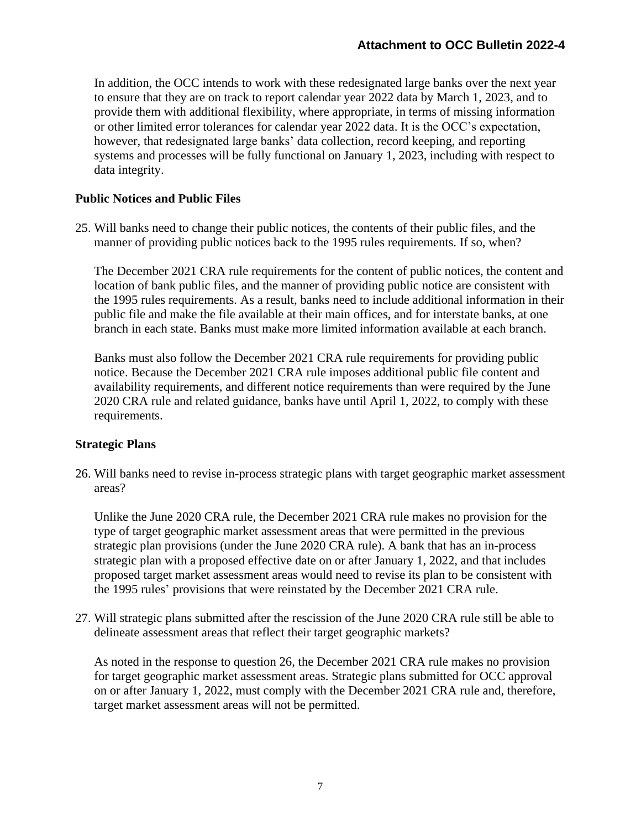In addition, the OCC intends to work with these redesignated large banks over the next year to ensure that they are on track to report calendar year 2022 data by March 1, 2023, and to provide them with additional flexibility, where appropriate, in terms of missing information or other limited error tolerances for calendar year 2022 data. It is the OCC's expectation, however, that redesignated large banks' data collection, record keeping, and reporting systems and processes will be fully functional on January 1, 2023, including with respect to data integrity.

## **Public Notices and Public Files**

25. Will banks need to change their public notices, the contents of their public files, and the manner of providing public notices back to the 1995 rules requirements. If so, when?

The December 2021 CRA rule requirements for the content of public notices, the content and location of bank public files, and the manner of providing public notice are consistent with the 1995 rules requirements. As a result, banks need to include additional information in their public file and make the file available at their main offices, and for interstate banks, at one branch in each state. Banks must make more limited information available at each branch.

Banks must also follow the December 2021 CRA rule requirements for providing public notice. Because the December 2021 CRA rule imposes additional public file content and availability requirements, and different notice requirements than were required by the June 2020 CRA rule and related guidance, banks have until April 1, 2022, to comply with these requirements.

### **Strategic Plans**

26. Will banks need to revise in-process strategic plans with target geographic market assessment areas?

Unlike the June 2020 CRA rule, the December 2021 CRA rule makes no provision for the type of target geographic market assessment areas that were permitted in the previous strategic plan provisions (under the June 2020 CRA rule). A bank that has an in-process strategic plan with a proposed effective date on or after January 1, 2022, and that includes proposed target market assessment areas would need to revise its plan to be consistent with the 1995 rules' provisions that were reinstated by the December 2021 CRA rule.

27. Will strategic plans submitted after the rescission of the June 2020 CRA rule still be able to delineate assessment areas that reflect their target geographic markets?

As noted in the response to question 26, the December 2021 CRA rule makes no provision for target geographic market assessment areas. Strategic plans submitted for OCC approval on or after January 1, 2022, must comply with the December 2021 CRA rule and, therefore, target market assessment areas will not be permitted.